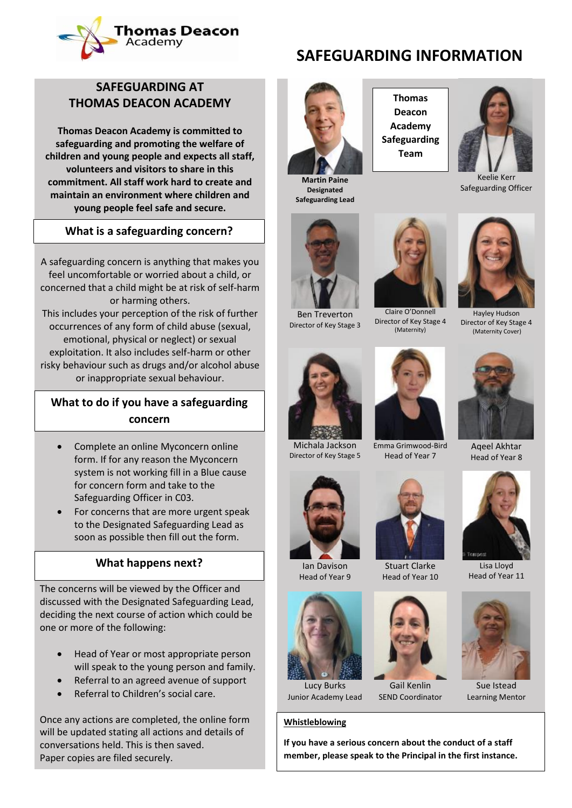

# **SAFEGUARDING AT THOMAS DEACON ACADEMY**

**Thomas Deacon Academy is committed to safeguarding and promoting the welfare of children and young people and expects all staff, volunteers and visitors to share in this commitment. All staff work hard to create and maintain an environment where children and young people feel safe and secure.**

# **What is a safeguarding concern? What is a safeguarding concern?**

A safeguarding concern is anything that makes you feel uncomfortable or worried about a child, or concerned that a child might be at risk of self-harm or harming others. This includes your perception of the risk of further occurrences of any form of child abuse (sexual, emotional, physical or neglect) or sexual exploitation. It also includes self-harm or other risky behaviour such as drugs and/or alcohol abuse or inappropriate sexual behaviour.

# **What to do if you have a safeguarding What to do if you have a safeguarding concern concern**

- Complete an online Myconcern online form. If for any reason the Myconcern system is not working fill in a Blue cause for concern form and take to the Safeguarding Officer in C03.
- For concerns that are more urgent speak to the Designated Safeguarding Lead as soon as possible then fill out the form.

## **What happens next? What happens next?**

The concerns will be viewed by the Officer and discussed with the Designated Safeguarding Lead, deciding the next course of action which could be one or more of the following:

- Head of Year or most appropriate person will speak to the young person and family.
- Referral to an agreed avenue of support
- Referral to Children's social care.

Once any actions are completed, the online form will be updated stating all actions and details of conversations held. This is then saved. Paper copies are filed securely.

**Martin Paine Designated Safeguarding Lead**



Ben Treverton Director of Key Stage 3 Director of Key Stage 4



**SAFEGUARDING INFORMATION**



Keelie Kerr Safeguarding Officer



Hayley Hudson Director of Key Stage 4 (Maternity Cover)



Director of Key Stage 5



Emma Grimwood-Bird Head of Year 7

Claire O'Donnell

(Maternity)



Stuart Clarke Head of Year 10



Gail Kenlin SEND Coordinator

### **Whistleblowing**





Aqeel Akhtar Head of Year 8



Lisa Lloyd Head of Year 11



Sue Istead Learning Mentor





Lucy Burks Junior Academy Lead